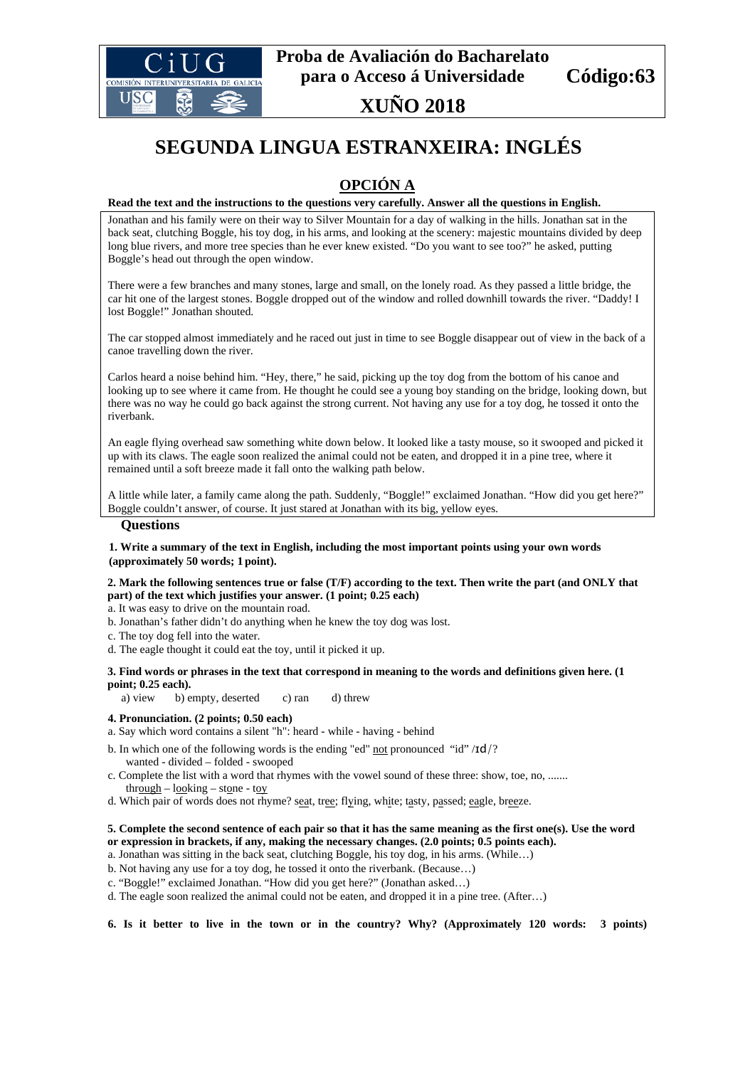

## **XUÑO 2018**

# **SEGUNDA LINGUA ESTRANXEIRA: INGLÉS**

### **OPCIÓN A**

#### **Read the text and the instructions to the questions very carefully. Answer all the questions in English.**

Jonathan and his family were on their way to Silver Mountain for a day of walking in the hills. Jonathan sat in the back seat, clutching Boggle, his toy dog, in his arms, and looking at the scenery: majestic mountains divided by deep long blue rivers, and more tree species than he ever knew existed. "Do you want to see too?" he asked, putting Boggle's head out through the open window.

There were a few branches and many stones, large and small, on the lonely road. As they passed a little bridge, the car hit one of the largest stones. Boggle dropped out of the window and rolled downhill towards the river. "Daddy! I lost Boggle!" Jonathan shouted.

The car stopped almost immediately and he raced out just in time to see Boggle disappear out of view in the back of a canoe travelling down the river.

Carlos heard a noise behind him. "Hey, there," he said, picking up the toy dog from the bottom of his canoe and looking up to see where it came from. He thought he could see a young boy standing on the bridge, looking down, but there was no way he could go back against the strong current. Not having any use for a toy dog, he tossed it onto the riverbank.

An eagle flying overhead saw something white down below. It looked like a tasty mouse, so it swooped and picked it up with its claws. The eagle soon realized the animal could not be eaten, and dropped it in a pine tree, where it remained until a soft breeze made it fall onto the walking path below.

A little while later, a family came along the path. Suddenly, "Boggle!" exclaimed Jonathan. "How did you get here?" Boggle couldn't answer, of course. It just stared at Jonathan with its big, yellow eyes.

#### **Questions**

#### **1. Write a summary of the text in English, including the most important points using your own words (approximately 50 words; 1 point).**

#### **2. Mark the following sentences true or false (T/F) according to the text. Then write the part (and ONLY that part) of the text which justifies your answer. (1 point; 0.25 each)**

a. It was easy to drive on the mountain road.

b. Jonathan's father didn't do anything when he knew the toy dog was lost.

c. The toy dog fell into the water.

d. The eagle thought it could eat the toy, until it picked it up.

**3. Find words or phrases in the text that correspond in meaning to the words and definitions given here. (1 point; 0.25 each).**

a) view b) empty, deserted c) ran d) threw

#### **4. Pronunciation. (2 points; 0.50 each)**

a. Say which word contains a silent "h": heard - while - having - behind

b. In which one of the following words is the ending "ed" not pronounced "id" /ɪd/? wanted - divided – folded - swooped

c. Complete the list with a word that rhymes with the vowel sound of these three: show, toe, no, ....... through – looking – stone - toy

d. Which pair of words does not rhyme? seat, tree; flying, white; tasty, passed; eagle, breeze.

#### **5. Complete the second sentence of each pair so that it has the same meaning as the first one(s). Use the word or expression in brackets, if any, making the necessary changes. (2.0 points; 0.5 points each).**

a. Jonathan was sitting in the back seat, clutching Boggle, his toy dog, in his arms. (While…)

- b. Not having any use for a toy dog, he tossed it onto the riverbank. (Because…)
- c. "Boggle!" exclaimed Jonathan. "How did you get here?" (Jonathan asked…)
- d. The eagle soon realized the animal could not be eaten, and dropped it in a pine tree. (After…)

**6. Is it better to live in the town or in the country? Why? (Approximately 120 words: 3 points)**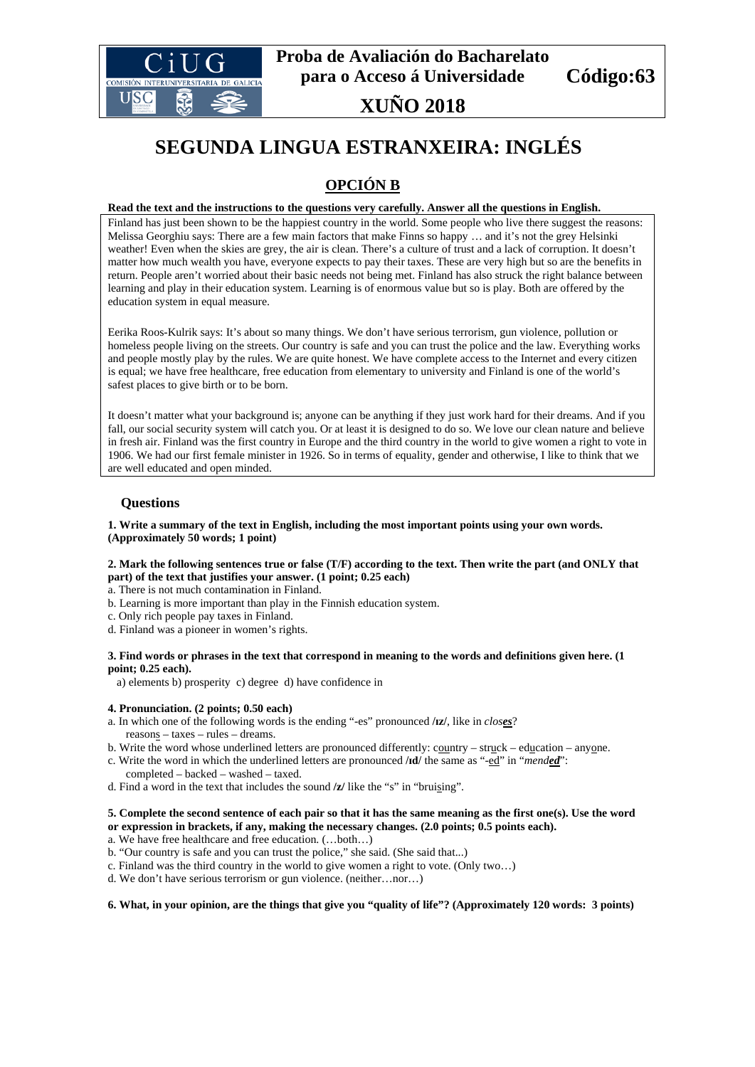

## **XUÑO 2018**

# **SEGUNDA LINGUA ESTRANXEIRA: INGLÉS**

## **OPCIÓN B**

#### **Read the text and the instructions to the questions very carefully. Answer all the questions in English.**

Finland has just been shown to be the happiest country in the world. Some people who live there suggest the reasons: Melissa Georghiu says: There are a few main factors that make Finns so happy … and it's not the grey Helsinki weather! Even when the skies are grey, the air is clean. There's a culture of trust and a lack of corruption. It doesn't matter how much wealth you have, everyone expects to pay their taxes. These are very high but so are the benefits in return. People aren't worried about their basic needs not being met. Finland has also struck the right balance between learning and play in their education system. Learning is of enormous value but so is play. Both are offered by the education system in equal measure.

Eerika Roos-Kulrik says: It's about so many things. We don't have serious terrorism, gun violence, pollution or homeless people living on the streets. Our country is safe and you can trust the police and the law. Everything works and people mostly play by the rules. We are quite honest. We have complete access to the Internet and every citizen is equal; we have free healthcare, free education from elementary to university and Finland is one of the world's safest places to give birth or to be born.

It doesn't matter what your background is; anyone can be anything if they just work hard for their dreams. And if you fall, our social security system will catch you. Or at least it is designed to do so. We love our clean nature and believe in fresh air. Finland was the first country in Europe and the third country in the world to give women a right to vote in 1906. We had our first female minister in 1926. So in terms of equality, gender and otherwise, I like to think that we are well educated and open minded.

### **Questions**

#### **1. Write a summary of the text in English, including the most important points using your own words. (Approximately 50 words; 1 point)**

#### **2. Mark the following sentences true or false (T/F) according to the text. Then write the part (and ONLY that part) of the text that justifies your answer. (1 point; 0.25 each)**

a. There is not much contamination in Finland.

- b. Learning is more important than play in the Finnish education system.
- c. Only rich people pay taxes in Finland.
- d. Finland was a pioneer in women's rights.

#### **3. Find words or phrases in the text that correspond in meaning to the words and definitions given here. (1 point; 0.25 each).**

a) elements b) prosperity c) degree d) have confidence in

#### **4. Pronunciation. (2 points; 0.50 each)**

- a. In which one of the following words is the ending "-es" pronounced **/ɪz/**, like in *closes*? reasons – taxes – rules – dreams.
- b. Write the word whose underlined letters are pronounced differently: country struck education anyone.
- c. Write the word in which the underlined letters are pronounced **/ɪd/** the same as "-ed" in "*mended*":
- completed backed washed taxed.
- d. Find a word in the text that includes the sound **/z/** like the "s" in "bruising".

#### **5. Complete the second sentence of each pair so that it has the same meaning as the first one(s). Use the word or expression in brackets, if any, making the necessary changes. (2.0 points; 0.5 points each).**

a. We have free healthcare and free education. (…both…)

- b. "Our country is safe and you can trust the police," she said. (She said that...)
- c. Finland was the third country in the world to give women a right to vote. (Only two…)
- d. We don't have serious terrorism or gun violence. (neither…nor…)

#### **6. What, in your opinion, are the things that give you "quality of life"? (Approximately 120 words: 3 points)**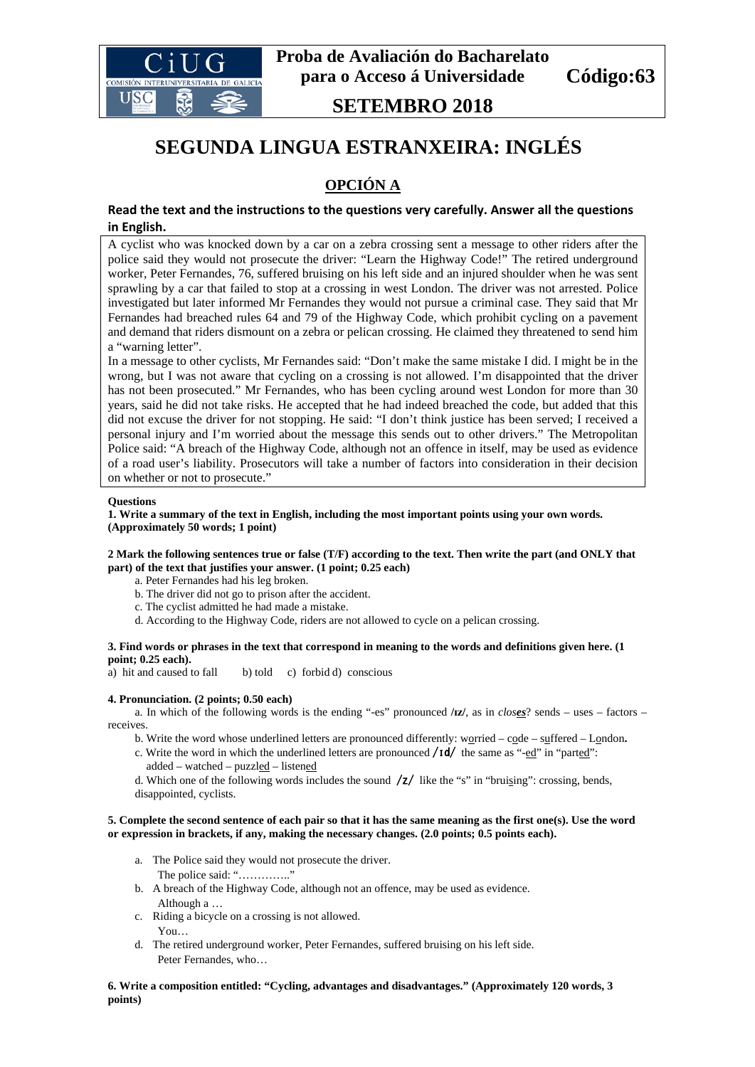

**SETEMBRO 2018**

## **SEGUNDA LINGUA ESTRANXEIRA: INGLÉS**

## **OPCIÓN A**

### **Read the text and the instructions to the questions very carefully. Answer all the questions in English.**

A cyclist who was knocked down by a car on a zebra crossing sent a message to other riders after the police said they would not prosecute the driver: "Learn the Highway Code!" The retired underground worker, Peter Fernandes, 76, suffered bruising on his left side and an injured shoulder when he was sent sprawling by a car that failed to stop at a crossing in west London. The driver was not arrested. Police investigated but later informed Mr Fernandes they would not pursue a criminal case. They said that Mr Fernandes had breached rules 64 and 79 of the Highway Code, which prohibit cycling on a pavement and demand that riders dismount on a zebra or pelican crossing. He claimed they threatened to send him a "warning letter".

In a message to other cyclists, Mr Fernandes said: "Don't make the same mistake I did. I might be in the wrong, but I was not aware that cycling on a crossing is not allowed. I'm disappointed that the driver has not been prosecuted." Mr Fernandes, who has been cycling around west London for more than 30 years, said he did not take risks. He accepted that he had indeed breached the code, but added that this did not excuse the driver for not stopping. He said: "I don't think justice has been served; I received a personal injury and I'm worried about the message this sends out to other drivers." The Metropolitan Police said: "A breach of the Highway Code, although not an offence in itself, may be used as evidence of a road user's liability. Prosecutors will take a number of factors into consideration in their decision on whether or not to prosecute."

#### **Questions**

**1. Write a summary of the text in English, including the most important points using your own words. (Approximately 50 words; 1 point)**

#### **2 Mark the following sentences true or false (T/F) according to the text. Then write the part (and ONLY that part) of the text that justifies your answer. (1 point; 0.25 each)**

- a. Peter Fernandes had his leg broken.
- b. The driver did not go to prison after the accident.
- c. The cyclist admitted he had made a mistake.
- d. According to the Highway Code, riders are not allowed to cycle on a pelican crossing.

### **3. Find words or phrases in the text that correspond in meaning to the words and definitions given here. (1 point; 0.25 each).**<br>a) hit and caused to fall

b) told  $\ c)$  forbid d) conscious

#### **4. Pronunciation. (2 points; 0.50 each)**

a. In which of the following words is the ending "-es" pronounced **/ɪz/**, as in *closes*? sends – uses – factors – receives.

- b. Write the word whose underlined letters are pronounced differently: worried code suffered London**.**
- c. Write the word in which the underlined letters are pronounced  $/1d/$  the same as "- $ed$ " in "parted": added – watched – puzzled – listened
- d. Which one of the following words includes the sound  $\frac{z}{1}$  like the "s" in "bruising": crossing, bends, disappointed, cyclists.

#### **5. Complete the second sentence of each pair so that it has the same meaning as the first one(s). Use the word or expression in brackets, if any, making the necessary changes. (2.0 points; 0.5 points each).**

- a. The Police said they would not prosecute the driver.
	- The police said: ".................."
- b. A breach of the Highway Code, although not an offence, may be used as evidence. Although a …
- c. Riding a bicycle on a crossing is not allowed. You…
- d. The retired underground worker, Peter Fernandes, suffered bruising on his left side. Peter Fernandes, who…

**6. Write a composition entitled: "Cycling, advantages and disadvantages." (Approximately 120 words, 3 points)**